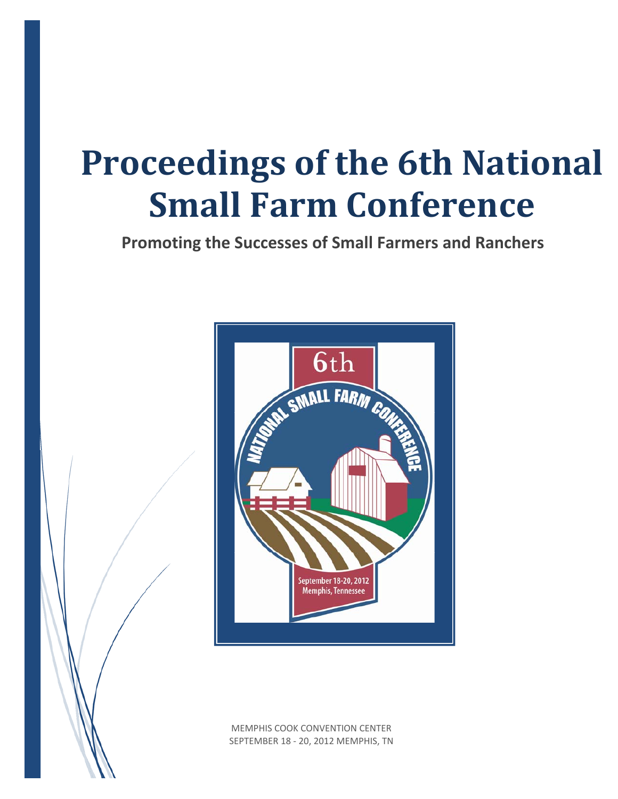# **Proceedings of the 6th National Small Farm Conference**

**Promoting the Successes of Small Farmers and Ranchers**



MEMPHIS COOK CONVENTION CENTER SEPTEMBER 18 ‐ 20, 2012 MEMPHIS, TN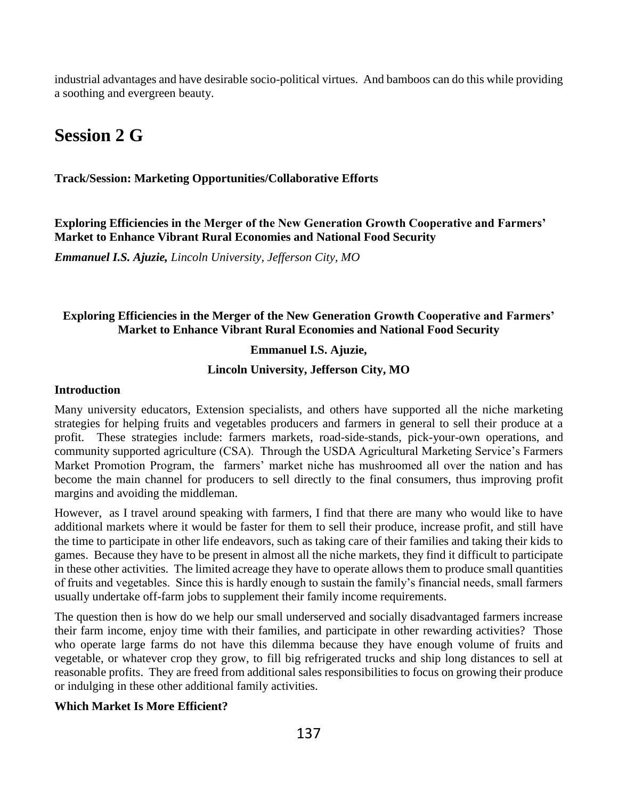industrial advantages and have desirable socio-political virtues. And bamboos can do this while providing a soothing and evergreen beauty.

# **Session 2 G**

**Track/Session: Marketing Opportunities/Collaborative Efforts**

**Exploring Efficiencies in the Merger of the New Generation Growth Cooperative and Farmers' Market to Enhance Vibrant Rural Economies and National Food Security**

*Emmanuel I.S. Ajuzie, Lincoln University, Jefferson City, MO* 

## **Exploring Efficiencies in the Merger of the New Generation Growth Cooperative and Farmers' Market to Enhance Vibrant Rural Economies and National Food Security**

#### **Emmanuel I.S. Ajuzie,**

#### **Lincoln University, Jefferson City, MO**

#### **Introduction**

Many university educators, Extension specialists, and others have supported all the niche marketing strategies for helping fruits and vegetables producers and farmers in general to sell their produce at a profit. These strategies include: farmers markets, road-side-stands, pick-your-own operations, and community supported agriculture (CSA). Through the USDA Agricultural Marketing Service's Farmers Market Promotion Program, the farmers' market niche has mushroomed all over the nation and has become the main channel for producers to sell directly to the final consumers, thus improving profit margins and avoiding the middleman.

However, as I travel around speaking with farmers, I find that there are many who would like to have additional markets where it would be faster for them to sell their produce, increase profit, and still have the time to participate in other life endeavors, such as taking care of their families and taking their kids to games. Because they have to be present in almost all the niche markets, they find it difficult to participate in these other activities. The limited acreage they have to operate allows them to produce small quantities of fruits and vegetables. Since this is hardly enough to sustain the family's financial needs, small farmers usually undertake off-farm jobs to supplement their family income requirements.

The question then is how do we help our small underserved and socially disadvantaged farmers increase their farm income, enjoy time with their families, and participate in other rewarding activities? Those who operate large farms do not have this dilemma because they have enough volume of fruits and vegetable, or whatever crop they grow, to fill big refrigerated trucks and ship long distances to sell at reasonable profits. They are freed from additional sales responsibilities to focus on growing their produce or indulging in these other additional family activities.

#### **Which Market Is More Efficient?**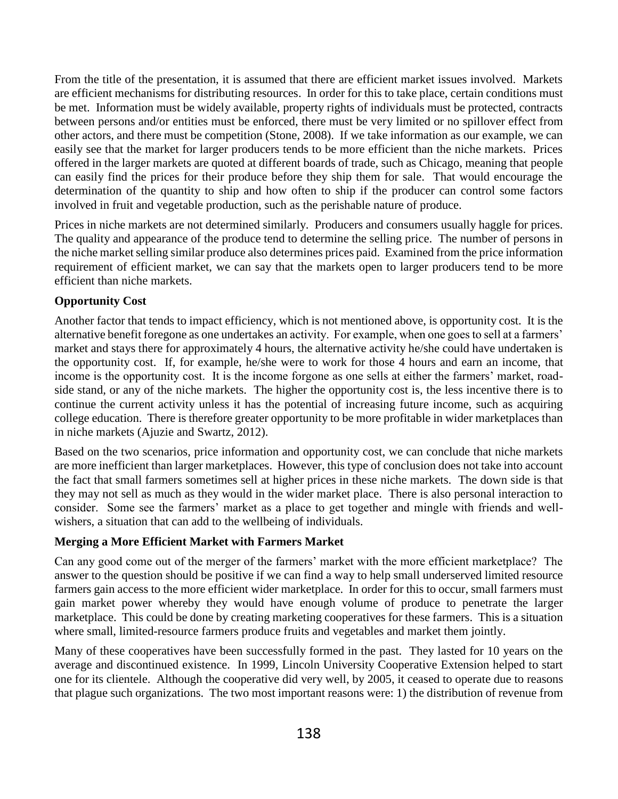From the title of the presentation, it is assumed that there are efficient market issues involved. Markets are efficient mechanisms for distributing resources. In order for this to take place, certain conditions must be met. Information must be widely available, property rights of individuals must be protected, contracts between persons and/or entities must be enforced, there must be very limited or no spillover effect from other actors, and there must be competition (Stone, 2008). If we take information as our example, we can easily see that the market for larger producers tends to be more efficient than the niche markets. Prices offered in the larger markets are quoted at different boards of trade, such as Chicago, meaning that people can easily find the prices for their produce before they ship them for sale. That would encourage the determination of the quantity to ship and how often to ship if the producer can control some factors involved in fruit and vegetable production, such as the perishable nature of produce.

Prices in niche markets are not determined similarly. Producers and consumers usually haggle for prices. The quality and appearance of the produce tend to determine the selling price. The number of persons in the niche market selling similar produce also determines prices paid. Examined from the price information requirement of efficient market, we can say that the markets open to larger producers tend to be more efficient than niche markets.

## **Opportunity Cost**

Another factor that tends to impact efficiency, which is not mentioned above, is opportunity cost. It is the alternative benefit foregone as one undertakes an activity. For example, when one goes to sell at a farmers' market and stays there for approximately 4 hours, the alternative activity he/she could have undertaken is the opportunity cost. If, for example, he/she were to work for those 4 hours and earn an income, that income is the opportunity cost. It is the income forgone as one sells at either the farmers' market, roadside stand, or any of the niche markets. The higher the opportunity cost is, the less incentive there is to continue the current activity unless it has the potential of increasing future income, such as acquiring college education. There is therefore greater opportunity to be more profitable in wider marketplaces than in niche markets (Ajuzie and Swartz, 2012).

Based on the two scenarios, price information and opportunity cost, we can conclude that niche markets are more inefficient than larger marketplaces. However, this type of conclusion does not take into account the fact that small farmers sometimes sell at higher prices in these niche markets. The down side is that they may not sell as much as they would in the wider market place. There is also personal interaction to consider. Some see the farmers' market as a place to get together and mingle with friends and wellwishers, a situation that can add to the wellbeing of individuals.

## **Merging a More Efficient Market with Farmers Market**

Can any good come out of the merger of the farmers' market with the more efficient marketplace? The answer to the question should be positive if we can find a way to help small underserved limited resource farmers gain access to the more efficient wider marketplace. In order for this to occur, small farmers must gain market power whereby they would have enough volume of produce to penetrate the larger marketplace. This could be done by creating marketing cooperatives for these farmers. This is a situation where small, limited-resource farmers produce fruits and vegetables and market them jointly.

Many of these cooperatives have been successfully formed in the past. They lasted for 10 years on the average and discontinued existence. In 1999, Lincoln University Cooperative Extension helped to start one for its clientele. Although the cooperative did very well, by 2005, it ceased to operate due to reasons that plague such organizations. The two most important reasons were: 1) the distribution of revenue from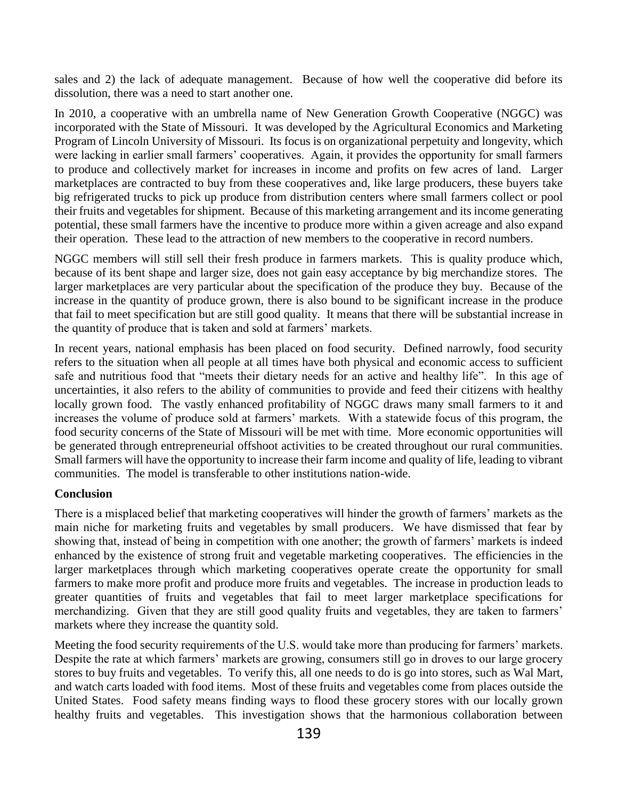sales and 2) the lack of adequate management. Because of how well the cooperative did before its dissolution, there was a need to start another one.

In 2010, a cooperative with an umbrella name of New Generation Growth Cooperative (NGGC) was incorporated with the State of Missouri. It was developed by the Agricultural Economics and Marketing Program of Lincoln University of Missouri. Its focus is on organizational perpetuity and longevity, which were lacking in earlier small farmers' cooperatives. Again, it provides the opportunity for small farmers to produce and collectively market for increases in income and profits on few acres of land. Larger marketplaces are contracted to buy from these cooperatives and, like large producers, these buyers take big refrigerated trucks to pick up produce from distribution centers where small farmers collect or pool their fruits and vegetables for shipment. Because of this marketing arrangement and its income generating potential, these small farmers have the incentive to produce more within a given acreage and also expand their operation. These lead to the attraction of new members to the cooperative in record numbers.

NGGC members will still sell their fresh produce in farmers markets. This is quality produce which, because of its bent shape and larger size, does not gain easy acceptance by big merchandize stores. The larger marketplaces are very particular about the specification of the produce they buy. Because of the increase in the quantity of produce grown, there is also bound to be significant increase in the produce that fail to meet specification but are still good quality. It means that there will be substantial increase in the quantity of produce that is taken and sold at farmers' markets.

In recent years, national emphasis has been placed on food security. Defined narrowly, food security refers to the situation when all people at all times have both physical and economic access to sufficient safe and nutritious food that "meets their dietary needs for an active and healthy life". In this age of uncertainties, it also refers to the ability of communities to provide and feed their citizens with healthy locally grown food. The vastly enhanced profitability of NGGC draws many small farmers to it and increases the volume of produce sold at farmers' markets. With a statewide focus of this program, the food security concerns of the State of Missouri will be met with time. More economic opportunities will be generated through entrepreneurial offshoot activities to be created throughout our rural communities. Small farmers will have the opportunity to increase their farm income and quality of life, leading to vibrant communities. The model is transferable to other institutions nation-wide.

#### **Conclusion**

There is a misplaced belief that marketing cooperatives will hinder the growth of farmers' markets as the main niche for marketing fruits and vegetables by small producers. We have dismissed that fear by showing that, instead of being in competition with one another; the growth of farmers' markets is indeed enhanced by the existence of strong fruit and vegetable marketing cooperatives. The efficiencies in the larger marketplaces through which marketing cooperatives operate create the opportunity for small farmers to make more profit and produce more fruits and vegetables. The increase in production leads to greater quantities of fruits and vegetables that fail to meet larger marketplace specifications for merchandizing. Given that they are still good quality fruits and vegetables, they are taken to farmers' markets where they increase the quantity sold.

Meeting the food security requirements of the U.S. would take more than producing for farmers' markets. Despite the rate at which farmers' markets are growing, consumers still go in droves to our large grocery stores to buy fruits and vegetables. To verify this, all one needs to do is go into stores, such as Wal Mart, and watch carts loaded with food items. Most of these fruits and vegetables come from places outside the United States. Food safety means finding ways to flood these grocery stores with our locally grown healthy fruits and vegetables. This investigation shows that the harmonious collaboration between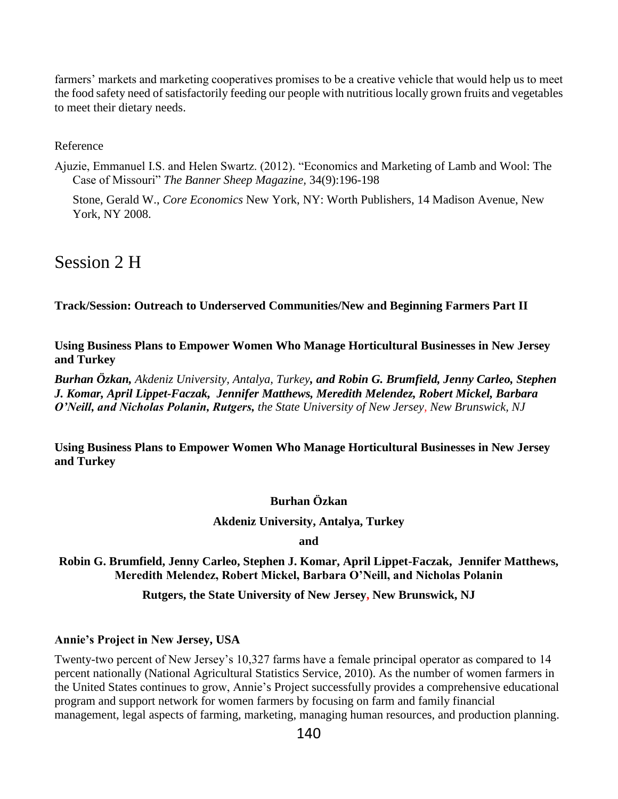farmers' markets and marketing cooperatives promises to be a creative vehicle that would help us to meet the food safety need of satisfactorily feeding our people with nutritious locally grown fruits and vegetables to meet their dietary needs.

Reference

Ajuzie, Emmanuel I.S. and Helen Swartz. (2012). "Economics and Marketing of Lamb and Wool: The Case of Missouri" *The Banner Sheep Magazine,* 34(9):196-198

Stone, Gerald W., *Core Economics* New York, NY: Worth Publishers, 14 Madison Avenue, New York, NY 2008.

# Session 2 H

**Track/Session: Outreach to Underserved Communities/New and Beginning Farmers Part II**

**Using Business Plans to Empower Women Who Manage Horticultural Businesses in New Jersey and Turkey** 

*Burhan Özkan, Akdeniz University, Antalya, Turkey, and Robin G. Brumfield, Jenny Carleo, Stephen J. Komar, April Lippet-Faczak, Jennifer Matthews, Meredith Melendez, Robert Mickel, Barbara O'Neill, and Nicholas Polanin, Rutgers, the State University of New Jersey, New Brunswick, NJ* 

**Using Business Plans to Empower Women Who Manage Horticultural Businesses in New Jersey and Turkey** 

## **Burhan Özkan**

## **Akdeniz University, Antalya, Turkey**

**and**

**Robin G. Brumfield, Jenny Carleo, Stephen J. Komar, April Lippet-Faczak, Jennifer Matthews, Meredith Melendez, Robert Mickel, Barbara O'Neill, and Nicholas Polanin**

## **Rutgers, the State University of New Jersey, New Brunswick, NJ**

#### **Annie's Project in New Jersey, USA**

Twenty-two percent of New Jersey's 10,327 farms have a female principal operator as compared to 14 percent nationally (National Agricultural Statistics Service, 2010). As the number of women farmers in the United States continues to grow, Annie's Project successfully provides a comprehensive educational program and support network for women farmers by focusing on farm and family financial management, legal aspects of farming, marketing, managing human resources, and production planning.